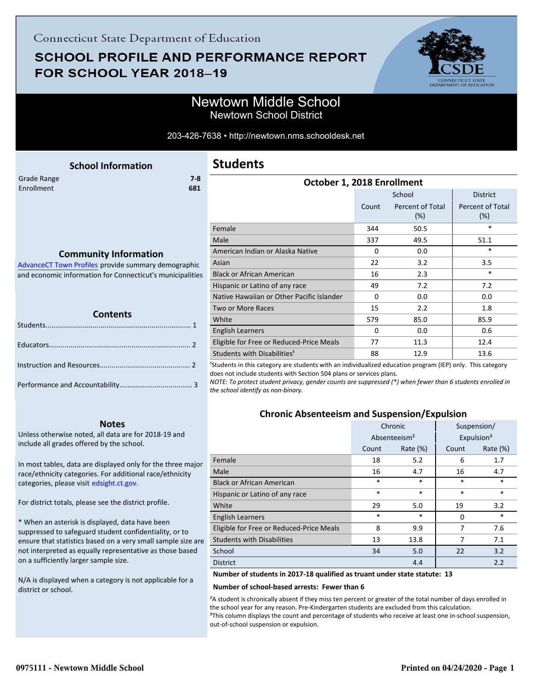# **SCHOOL PROFILE AND PERFORMANCE REPORT** FOR SCHOOL YEAR 2018-19



EATE<br>JCATION

### Newtown Middle School Newtown School District

#### 203-426-7638 • http://newtown.nms.schooldesk.net

<span id="page-0-0"></span>

| <b>School Information</b>                                                            | <b>Students</b>                           |          |                         |                         |  |
|--------------------------------------------------------------------------------------|-------------------------------------------|----------|-------------------------|-------------------------|--|
| $7 - 8$<br>Grade Range                                                               | October 1, 2018 Enrollment                |          |                         |                         |  |
| Enrollment<br>681                                                                    | School<br><b>District</b>                 |          |                         |                         |  |
|                                                                                      |                                           | Count    | Percent of Total<br>(%) | Percent of Total<br>(%) |  |
|                                                                                      | Female                                    | 344      | 50.5                    | $\ast$                  |  |
| <b>Community Information</b><br>Advance CT Town Profiles provide summary demographic | Male                                      | 337      | 49.5                    | 51.1                    |  |
|                                                                                      | American Indian or Alaska Native          | $\Omega$ | 0.0                     | $\ast$                  |  |
|                                                                                      | Asian                                     | 22       | 3.2                     | 3.5                     |  |
| and economic information for Connecticut's municipalities                            | <b>Black or African American</b>          | 16       | 2.3                     | $\ast$                  |  |
|                                                                                      | Hispanic or Latino of any race            | 49       | 7.2                     | 7.2                     |  |
|                                                                                      | Native Hawaiian or Other Pacific Islander | $\Omega$ | 0.0                     | 0.0                     |  |
|                                                                                      | Two or More Races                         | 15       | 2.2                     | 1.8                     |  |
| <b>Contents</b>                                                                      | White                                     | 579      | 85.0                    | 85.9                    |  |
|                                                                                      | <b>English Learners</b>                   | 0        | 0.0                     | 0.6                     |  |
|                                                                                      | Eligible for Free or Reduced-Price Meals  | 77       | 11.3                    | 12.4                    |  |
|                                                                                      | Students with Disabilities <sup>1</sup>   | 88       | 12.9                    | 13.6                    |  |

<sup>1</sup>Students in this category are students with an individualized education program (IEP) only. This category does not include students with Section 504 plans or services plans.

*NOTE: To protect student privacy, gender counts are suppressed (\*) when fewer than 6 students enrolled in the school identify as non-binary.*

### **Chronic Absenteeism and Suspension/Expulsion**

|                                          | Chronic                  |             | Suspension/            |             |
|------------------------------------------|--------------------------|-------------|------------------------|-------------|
|                                          | Absenteeism <sup>2</sup> |             | Expulsion <sup>3</sup> |             |
|                                          | Count                    | Rate $(\%)$ | Count                  | Rate $(\%)$ |
| Female                                   | 18                       | 5.2         | 6                      | 1.7         |
| Male                                     | 16                       | 4.7         | 16                     | 4.7         |
| <b>Black or African American</b>         | $\ast$                   | *           | $\ast$                 | $\ast$      |
| Hispanic or Latino of any race           | $\ast$                   | *           | $\ast$                 | $\ast$      |
| White                                    | 29                       | 5.0         | 19                     | 3.2         |
| <b>English Learners</b>                  | $\ast$                   | $\ast$      | $\Omega$               | $\ast$      |
| Eligible for Free or Reduced-Price Meals | 8                        | 9.9         | 7                      | 7.6         |
| <b>Students with Disabilities</b>        | 13                       | 13.8        | 7                      | 7.1         |
| School                                   | 34                       | 5.0         | 22                     | 3.2         |
| <b>District</b>                          |                          | 4.4         |                        | 2.2         |

#### **Number of students in 2017-18 qualified as truant under state statute: 13**

#### **Number of school-based arrests: Fewer than 6**

²A student is chronically absent if they miss ten percent or greater of the total number of days enrolled in the school year for any reason. Pre-Kindergarten students are excluded from this calculation. <sup>3</sup>This column displays the count and percentage of students who receive at least one in-school suspension, out-of-school suspension or expulsion.

| Contents |  |  |  |
|----------|--|--|--|
|          |  |  |  |
|          |  |  |  |
|          |  |  |  |
|          |  |  |  |
|          |  |  |  |

#### **Notes**

Unless otherwise noted, all data are for 2018-19 and include all grades offered by the school.

[In most tables, data are displayed only for the three major](http://edsight.ct.gov/) race/ethnicity categories. For additional race/ethnicity categories, please visit edsight.ct.gov.

For district totals, please see the district profile.

\* When an asterisk is displayed, data have been suppressed to safeguard student confidentiality, or to ensure that statistics based on a very small sample size are not interpreted as equally representative as those based on a sufficiently larger sample size.

N/A is displayed when a category is not applicable for a district or school.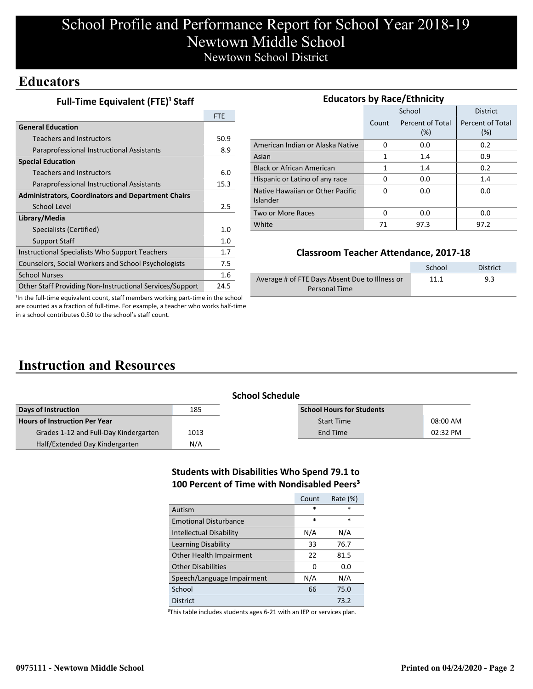# School Profile and Performance Report for School Year 2018-19 Newtown Middle School Newtown School District

### **Educators**

**Full-Time Equivalent (FTE)<sup>1</sup> Staff** 

|                                                           | <b>FTE</b> |
|-----------------------------------------------------------|------------|
| <b>General Education</b>                                  |            |
| Teachers and Instructors                                  | 50.9       |
| Paraprofessional Instructional Assistants                 | 8.9        |
| <b>Special Education</b>                                  |            |
| Teachers and Instructors                                  | 6.0        |
| Paraprofessional Instructional Assistants                 | 15.3       |
| <b>Administrators, Coordinators and Department Chairs</b> |            |
| School Level                                              | 2.5        |
| Library/Media                                             |            |
| Specialists (Certified)                                   | 1.0        |
| <b>Support Staff</b>                                      | 1.0        |
| Instructional Specialists Who Support Teachers            | 1.7        |
| Counselors, Social Workers and School Psychologists       | 7.5        |
| <b>School Nurses</b>                                      | 1.6        |
| Other Staff Providing Non-Instructional Services/Support  | 24.5       |

| <b>Educators by Race/Ethnicity</b>           |       |                         |                         |  |  |  |
|----------------------------------------------|-------|-------------------------|-------------------------|--|--|--|
|                                              |       | School                  | <b>District</b>         |  |  |  |
|                                              | Count | Percent of Total<br>(%) | Percent of Total<br>(%) |  |  |  |
| American Indian or Alaska Native             | 0     | 0.0                     | 0.2                     |  |  |  |
| Asian                                        | 1     | 1.4                     | 0.9                     |  |  |  |
| <b>Black or African American</b>             | 1     | 1.4                     | 0.2                     |  |  |  |
| Hispanic or Latino of any race               | O     | 0.0                     | 1.4                     |  |  |  |
| Native Hawaiian or Other Pacific<br>Islander | 0     | 0.0                     | 0.0                     |  |  |  |
| Two or More Races                            | 0     | 0.0                     | 0.0                     |  |  |  |
| White                                        | 71    | 97.3                    | 97.2                    |  |  |  |

### **Classroom Teacher Attendance, 2017-18**

|                                                | School | District |
|------------------------------------------------|--------|----------|
| Average # of FTE Days Absent Due to Illness or | 11.1   | 9.3      |
| Personal Time                                  |        |          |

<sup>1</sup>In the full-time equivalent count, staff members working part-time in the school are counted as a fraction of full-time. For example, a teacher who works half-time in a school contributes 0.50 to the school's staff count.

# **Instruction and Resources**

| School Schedule |
|-----------------|
|                 |

| Days of Instruction                   | 185  | <b>School Hours for Students</b> |          |
|---------------------------------------|------|----------------------------------|----------|
| <b>Hours of Instruction Per Year</b>  |      | <b>Start Time</b>                | 08:00 AM |
| Grades 1-12 and Full-Day Kindergarten | 1013 | End Time                         | 02:32 PM |
| Half/Extended Day Kindergarten        | N/A  |                                  |          |

### **Students with Disabilities Who Spend 79.1 to 100 Percent of Time with Nondisabled Peers³**

|                                | Count  | Rate (%) |
|--------------------------------|--------|----------|
| Autism                         | $\ast$ | *        |
| <b>Emotional Disturbance</b>   | *      | *        |
| <b>Intellectual Disability</b> | N/A    | N/A      |
| Learning Disability            | 33     | 76.7     |
| Other Health Impairment        | 22     | 81.5     |
| <b>Other Disabilities</b>      | 0      | 0.0      |
| Speech/Language Impairment     | N/A    | N/A      |
| School                         | 66     | 75.0     |
| District                       |        | 73.2     |

<sup>3</sup>This table includes students ages 6-21 with an IEP or services plan.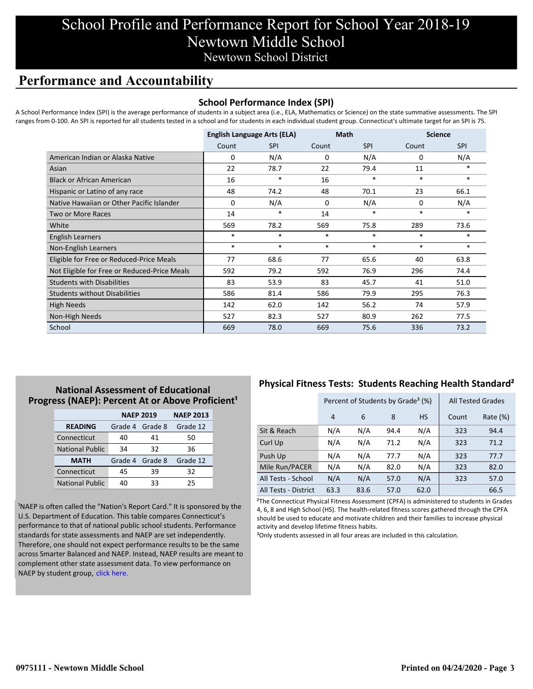## School Profile and Performance Report for School Year 2018-19 Newtown Middle School Newtown School District

## **Performance and Accountability**

### **School Performance Index (SPI)**

A School Performance Index (SPI) is the average performance of students in a subject area (i.e., ELA, Mathematics or Science) on the state summative assessments. The SPI ranges from 0-100. An SPI is reported for all students tested in a school and for students in each individual student group. Connecticut's ultimate target for an SPI is 75.

|                                              | <b>English Language Arts (ELA)</b> |            | <b>Math</b> |            | <b>Science</b> |            |
|----------------------------------------------|------------------------------------|------------|-------------|------------|----------------|------------|
|                                              | Count                              | <b>SPI</b> | Count       | <b>SPI</b> | Count          | <b>SPI</b> |
| American Indian or Alaska Native             | 0                                  | N/A        | 0           | N/A        | 0              | N/A        |
| Asian                                        | 22                                 | 78.7       | 22          | 79.4       | 11             | $*$        |
| <b>Black or African American</b>             | 16                                 | $\ast$     | 16          | $\ast$     | $\ast$         | $\ast$     |
| Hispanic or Latino of any race               | 48                                 | 74.2       | 48          | 70.1       | 23             | 66.1       |
| Native Hawaiian or Other Pacific Islander    | 0                                  | N/A        | 0           | N/A        | 0              | N/A        |
| <b>Two or More Races</b>                     | 14                                 | $\ast$     | 14          | $\ast$     | $\ast$         | $\ast$     |
| White                                        | 569                                | 78.2       | 569         | 75.8       | 289            | 73.6       |
| English Learners                             | *                                  | $*$        | $\ast$      | $\ast$     | $\ast$         | $*$        |
| Non-English Learners                         | $\ast$                             | $\ast$     | $\ast$      | $\ast$     | $\ast$         | $*$        |
| Eligible for Free or Reduced-Price Meals     | 77                                 | 68.6       | 77          | 65.6       | 40             | 63.8       |
| Not Eligible for Free or Reduced-Price Meals | 592                                | 79.2       | 592         | 76.9       | 296            | 74.4       |
| <b>Students with Disabilities</b>            | 83                                 | 53.9       | 83          | 45.7       | 41             | 51.0       |
| <b>Students without Disabilities</b>         | 586                                | 81.4       | 586         | 79.9       | 295            | 76.3       |
| <b>High Needs</b>                            | 142                                | 62.0       | 142         | 56.2       | 74             | 57.9       |
| Non-High Needs                               | 527                                | 82.3       | 527         | 80.9       | 262            | 77.5       |
| School                                       | 669                                | 78.0       | 669         | 75.6       | 336            | 73.2       |

### **National Assessment of Educational** Progress (NAEP): Percent At or Above Proficient<sup>1</sup>

|                        | <b>NAEP 2019</b> | <b>NAEP 2013</b> |          |
|------------------------|------------------|------------------|----------|
| <b>READING</b>         | Grade 4 Grade 8  |                  | Grade 12 |
| Connecticut            | 40               | 41               | 50       |
| <b>National Public</b> | 34               | 32               | 36       |
| <b>MATH</b>            | Grade 4 Grade 8  |                  | Grade 12 |
| Connecticut            | 45               | 39               | 32       |
| <b>National Public</b> | 40               | 33               | 25       |

<sup>1</sup>NAEP is often called the "Nation's Report Card." It is sponsored by the U.S. Department of Education. This table compares Connecticut's performance to that of national public school students. Performance standards for state assessments and NAEP are set independently. Therefore, one should not expect performance results to be the same [across Smarter Balanced and NAEP. Instead, NAEP results are meant to](https://portal.ct.gov/-/media/SDE/Student-Assessment/NAEP/report-card_NAEP-2019.pdf?la=en) complement other state assessment data. To view performance on NAEP by student group, click here.

### **Physical Fitness Tests: Students Reaching Health Standard²**

|                      | Percent of Students by Grade <sup>3</sup> (%) |      |      |           | <b>All Tested Grades</b> |          |
|----------------------|-----------------------------------------------|------|------|-----------|--------------------------|----------|
|                      | 4                                             | 6    | 8    | <b>HS</b> | Count                    | Rate (%) |
| Sit & Reach          | N/A                                           | N/A  | 94.4 | N/A       | 323                      | 94.4     |
| Curl Up              | N/A                                           | N/A  | 71.2 | N/A       | 323                      | 71.2     |
| Push Up              | N/A                                           | N/A  | 77.7 | N/A       | 323                      | 77.7     |
| Mile Run/PACER       | N/A                                           | N/A  | 82.0 | N/A       | 323                      | 82.0     |
| All Tests - School   | N/A                                           | N/A  | 57.0 | N/A       | 323                      | 57.0     |
| All Tests - District | 63.3                                          | 83.6 | 57.0 | 62.0      |                          | 66.5     |

²The Connecticut Physical Fitness Assessment (CPFA) is administered to students in Grades 4, 6, 8 and High School (HS). The health-related fitness scores gathered through the CPFA should be used to educate and motivate children and their families to increase physical activity and develop lifetime fitness habits.

<sup>3</sup>Only students assessed in all four areas are included in this calculation.